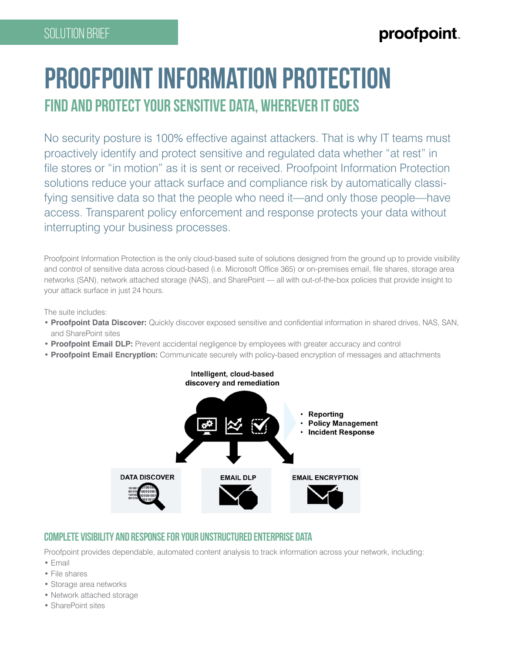## proofpoint

# **Proofpoint Information Protection Find and protect your sensitive data, wherever it goes**

No security posture is 100% effective against attackers. That is why IT teams must proactively identify and protect sensitive and regulated data whether "at rest" in file stores or "in motion" as it is sent or received. Proofpoint Information Protection solutions reduce your attack surface and compliance risk by automatically classifying sensitive data so that the people who need it—and only those people—have access. Transparent policy enforcement and response protects your data without interrupting your business processes.

Proofpoint Information Protection is the only cloud-based suite of solutions designed from the ground up to provide visibility and control of sensitive data across cloud-based (i.e. Microsoft Office 365) or on-premises email, file shares, storage area networks (SAN), network attached storage (NAS), and SharePoint — all with out-of-the-box policies that provide insight to your attack surface in just 24 hours.

The suite includes:

- **Proofpoint Data Discover:** Quickly discover exposed sensitive and confidential information in shared drives, NAS, SAN, and SharePoint sites
- **Proofpoint Email DLP:** Prevent accidental negligence by employees with greater accuracy and control
- **Proofpoint Email Encryption:** Communicate securely with policy-based encryption of messages and attachments



### **Complete visibility and response for your unstructured enterprise data**

Proofpoint provides dependable, automated content analysis to track information across your network, including:

- Email
- File shares
- Storage area networks
- Network attached storage
- SharePoint sites